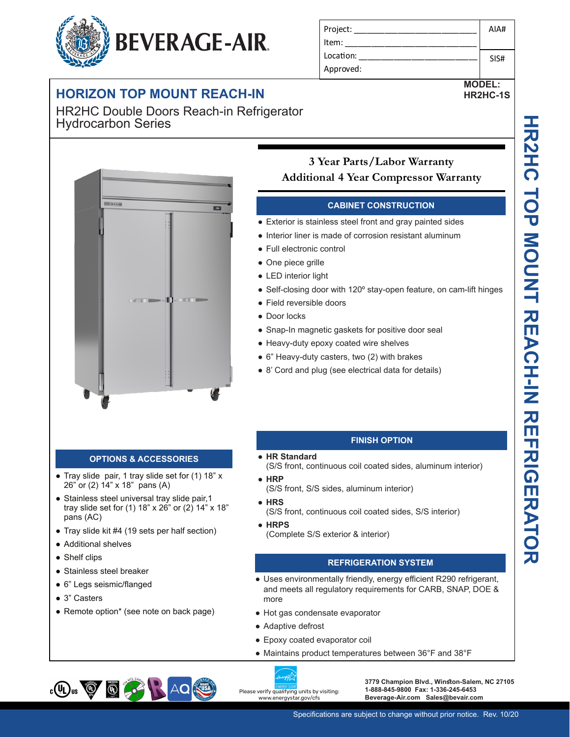# **BEVERAGE-AIR.**

# **HORIZON TOP MOUNT REACH-IN**

HR2HC Double Doors Reach-in Refrigerator Hydrocarbon Series



### **OPTIONS & ACCESSORIES**

- Tray slide pair, 1 tray slide set for (1) 18" x 26" or (2) 14" x 18" pans (A)
- Stainless steel universal tray slide pair, 1 tray slide set for (1) 18" x 26" or (2) 14" x 18" pans (AC)
- Tray slide kit #4 (19 sets per half section)
- Additional shelves
- Shelf clips
- Stainless steel breaker
- 6" Legs seismic/flanged
- 3" Casters
- Remote option\* (see note on back page)

#### Project: Item: Location: Approved: AIA# SIS#

#### **MODEL: HR2HC-1S**

## **3 Year Parts/Labor Warranty Additional 4 Year Compressor Warranty**

#### **CABINET CONSTRUCTION**

- Exterior is stainless steel front and gray painted sides
- Interior liner is made of corrosion resistant aluminum
- Full electronic control
- One piece grille
- LED interior light
- Self-closing door with 120° stay-open feature, on cam-lift hinges
- Field reversible doors
- Door locks
- Snap-In magnetic gaskets for positive door seal
- Heavy-duty epoxy coated wire shelves
- 6" Heavy-duty casters, two (2) with brakes
- 8' Cord and plug (see electrical data for details)

#### **FINISH OPTION**

- **HR Standard**
- (S/S front, continuous coil coated sides, aluminum interior)
- **HRP**
- (S/S front, S/S sides, aluminum interior)
- **HRS** (S/S front, continuous coil coated sides, S/S interior)
- **HRPS** (Complete S/S exterior & interior)

#### **REFRIGERATION SYSTEM**

- Uses environmentally friendly, energy efficient R290 refrigerant, and meets all regulatory requirements for CARB, SNAP, DOE & more
- Hot gas condensate evaporator
- Adaptive defrost
- Epoxy coated evaporator coil
- Maintains product temperatures between 36°F and 38°F





**3779 Champion Blvd., Winston-Salem, NC 27105 1-888-845-9800 Fax: 1-336-245-6453 Beverage-Air.com Sales@bevair.com**